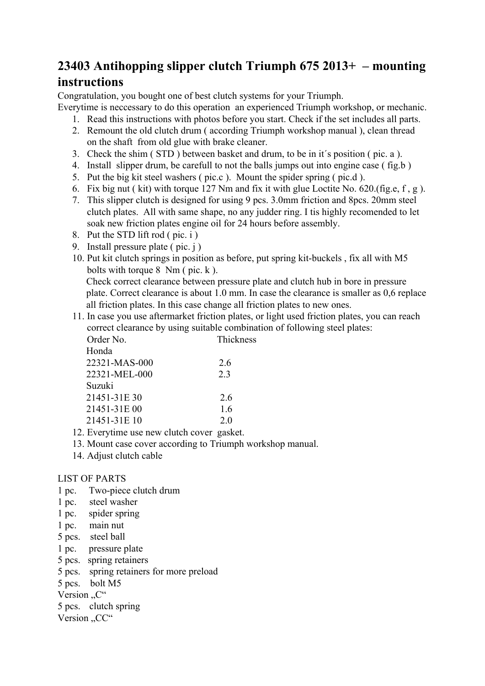## **23403 Antihopping slipper clutch Triumph 675 2013+ – mounting**

## **instructions**

Congratulation, you bought one of best clutch systems for your Triumph.

Everytime is neccessary to do this operation an experienced Triumph workshop, or mechanic.

- 1. Read this instructions with photos before you start. Check if the set includes all parts.
- 2. Remount the old clutch drum ( according Triumph workshop manual ), clean thread on the shaft from old glue with brake cleaner.
- 3. Check the shim ( STD ) between basket and drum, to be in it´s position ( pic. a ).
- 4. Install slipper drum, be carefull to not the balls jumps out into engine case ( fig.b )
- 5. Put the big kit steel washers ( pic.c ). Mount the spider spring ( pic.d ).
- 6. Fix big nut ( kit) with torque 127 Nm and fix it with glue Loctite No. 620.(fig.e, f , g ).
- 7. This slipper clutch is designed for using 9 pcs. 3.0mm friction and 8pcs. 20mm steel clutch plates. All with same shape, no any judder ring. I tis highly recomended to let soak new friction plates engine oil for 24 hours before assembly.
- 8. Put the STD lift rod ( pic. i )
- 9. Install pressure plate ( pic. j )
- 10. Put kit clutch springs in position as before, put spring kit-buckels , fix all with M5 bolts with torque  $8 \text{ Nm}$  ( pic. k ).

Check correct clearance between pressure plate and clutch hub in bore in pressure plate. Correct clearance is about 1.0 mm. In case the clearance is smaller as 0,6 replace all friction plates. In this case change all friction plates to new ones.

11. In case you use aftermarket friction plates, or light used friction plates, you can reach correct clearance by using suitable combination of following steel plates: Order No. Thickness

| Honda         |     |
|---------------|-----|
| 22321-MAS-000 | 2.6 |
| 22321-MEL-000 | 2.3 |
| Suzuki        |     |
| 21451-31E 30  | 2.6 |
| 21451-31E 00  | 1.6 |
| 21451-31E 10  | 2.0 |
|               |     |

- 12. Everytime use new clutch cover gasket.
- 13. Mount case cover according to Triumph workshop manual.
- 14. Adjust clutch cable

## LIST OF PARTS

- 1 pc. Two-piece clutch drum
- 1 pc. steel washer
- 1 pc. spider spring
- 1 pc. main nut
- 5 pcs. steel ball
- 1 pc. pressure plate
- 5 pcs. spring retainers
- 5 pcs. spring retainers for more preload
- 5 pcs. bolt M5

Version "C"

5 pcs. clutch spring

Version "CC"